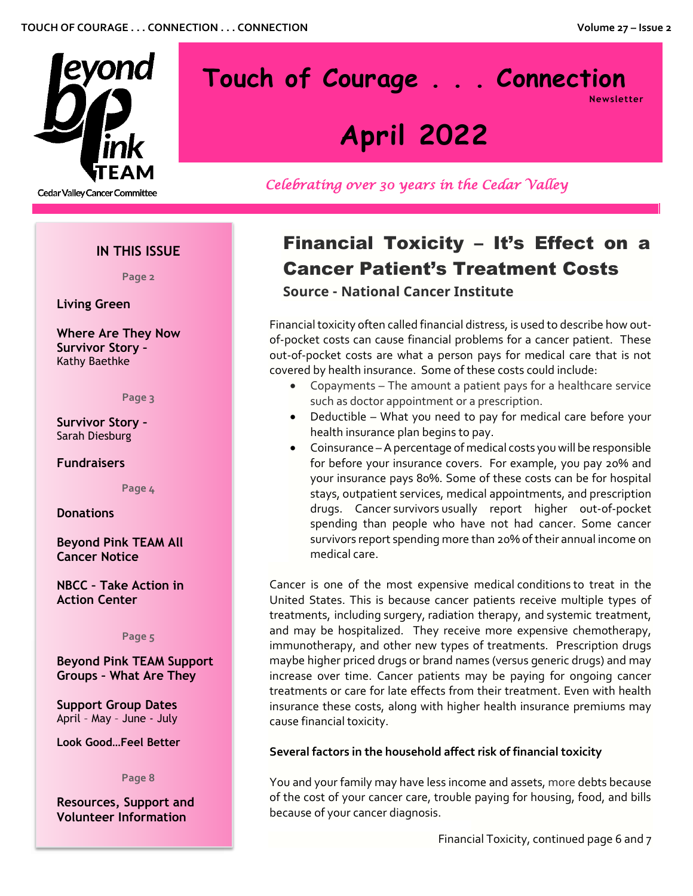

# **Touch of Courage . . . Connection Newsletter**

# **April 2022**

*Celebrating over 30 years in the Cedar Valley* 

# **IN THIS ISSUE**

**Page 2**

**Living Green**

**Where Are They Now Survivor Story –** Kathy Baethke

**Page 3**

**Survivor Story –** Sarah Diesburg

## **Fundraisers**

**Page 4**

## **Donations**

**Beyond Pink TEAM All Cancer Notice**

**NBCC – Take Action in Action Center**

**Page 5**

**Beyond Pink TEAM Support Groups – What Are They**

**Support Group Dates** April – May – June - July

**Look Good…Feel Better**

**Page 8**

**Resources, Support and Volunteer Information**

# Financial Toxicity – It's Effect on a Cancer Patient's Treatment Costs

**Source - National Cancer Institute**

Financial toxicity often called financial distress, is used to describe how outof-pocket costs can cause financial problems for a cancer patient. These out-of-pocket costs are what a person pays for medical care that is not covered by health insurance. Some of these costs could include:

- Copayments The amount a patient pays for a healthcare service such as doctor appointment or a prescription.
- Deductible What you need to pay for medical care before your health insurance plan begins to pay.
- Coinsurance –A percentage of medical costs you will be responsible for before your insurance covers. For example, you pay 20% and your insurance pays 80%. Some of these costs can be for hospital stays, outpatient services, medical appointments, and prescription drugs. [Cancer](https://www.cancer.gov/Common/PopUps/popDefinition.aspx?id=45333&version=patient&language=English&dictionary=Cancer.gov) [survivors](https://www.cancer.gov/Common/PopUps/popDefinition.aspx?id=450125&version=patient&language=English&dictionary=Cancer.gov) usually report higher out-of-pocket spending than people who have not had cancer. Some cancer survivors report spending more than 20% of their annual income on medical care.

Cancer is one of the most expensive medical [conditions](https://www.cancer.gov/Common/PopUps/popDefinition.aspx?id=651193&version=patient&language=English&dictionary=Cancer.gov) to treat in the United States. This is because cancer patients receive multiple types of treatments, including [surgery,](https://www.cancer.gov/Common/PopUps/popDefinition.aspx?id=45570&version=patient&language=English&dictionary=Cancer.gov) [radiation](https://www.cancer.gov/Common/PopUps/popDefinition.aspx?id=44971&version=patient&language=English&dictionary=Cancer.gov) therapy, and systemic [treatment,](https://www.cancer.gov/Common/PopUps/popDefinition.aspx?id=45922&version=patient&language=English&dictionary=Cancer.gov) and may be hospitalized. They receive more expensive chemotherapy, immunotherapy, and other new types of treatments. Prescription drugs maybe higher priced drugs or brand names (versus generic drugs) and may increase over time. Cancer patients may be paying for ongoing cancer treatments or care for late effects from their treatment. Even with health insurance these costs, along with higher health insurance premiums may cause financial toxicity.

## **Several factors in the household affect risk of financial toxicity**

You and your family may have less income and assets, more debts because of the cost of your cancer care, trouble paying for housing, food, and bills because of your cancer diagnosis.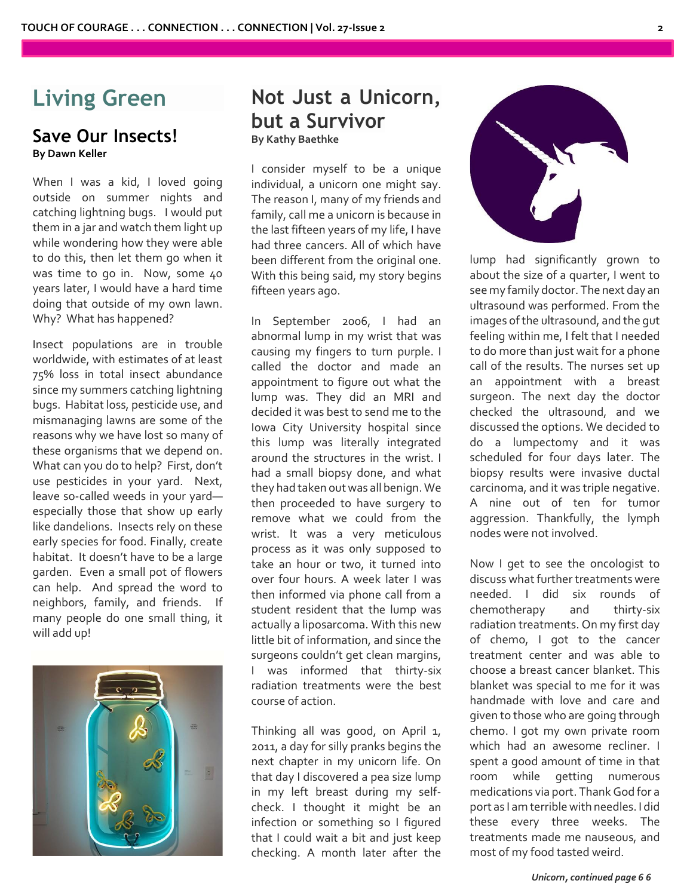# **Living Green**

# **Save Our Insects! By Dawn Keller**

When I was a kid, I loved going outside on summer nights and catching lightning bugs. I would put them in a jar and watch them light up while wondering how they were able to do this, then let them go when it was time to go in. Now, some 40 years later, I would have a hard time doing that outside of my own lawn. Why? What has happened?

Insect populations are in trouble worldwide, with estimates of at least 75% loss in total insect abundance since my summers catching lightning bugs. Habitat loss, pesticide use, and mismanaging lawns are some of the reasons why we have lost so many of these organisms that we depend on. What can you do to help? First, don't use pesticides in your yard. Next, leave so-called weeds in your yard especially those that show up early like dandelions. Insects rely on these early species for food. Finally, create habitat. It doesn't have to be a large garden. Even a small pot of flowers can help. And spread the word to neighbors, family, and friends. If many people do one small thing, it will add up!



# **Not Just a Unicorn, but a Survivor By Kathy Baethke**

I consider myself to be a unique individual, a unicorn one might say. The reason I, many of my friends and family, call me a unicorn is because in the last fifteen years of my life, I have had three cancers. All of which have been different from the original one. With this being said, my story begins fifteen years ago.

In September 2006, I had an abnormal lump in my wrist that was causing my fingers to turn purple. I called the doctor and made an appointment to figure out what the lump was. They did an MRI and decided it was best to send me to the Iowa City University hospital since this lump was literally integrated around the structures in the wrist. I had a small biopsy done, and what they had taken out was all benign. We then proceeded to have surgery to remove what we could from the wrist. It was a very meticulous process as it was only supposed to take an hour or two, it turned into over four hours. A week later I was then informed via phone call from a student resident that the lump was actually a liposarcoma. With this new little bit of information, and since the surgeons couldn't get clean margins, I was informed that thirty-six radiation treatments were the best course of action.

Thinking all was good, on April 1, 2011, a day for silly pranks begins the next chapter in my unicorn life. On that day I discovered a pea size lump in my left breast during my selfcheck. I thought it might be an infection or something so I figured that I could wait a bit and just keep checking. A month later after the



lump had significantly grown to about the size of a quarter, I went to see my family doctor. The next day an ultrasound was performed. From the images of the ultrasound, and the gut feeling within me, I felt that I needed to do more than just wait for a phone call of the results. The nurses set up an appointment with a breast surgeon. The next day the doctor checked the ultrasound, and we discussed the options. We decided to do a lumpectomy and it was scheduled for four days later. The biopsy results were invasive ductal carcinoma, and it was triple negative. A nine out of ten for tumor aggression. Thankfully, the lymph nodes were not involved.

Now I get to see the oncologist to discuss what further treatments were needed. I did six rounds of chemotherapy and thirty-six radiation treatments. On my first day of chemo, I got to the cancer treatment center and was able to choose a breast cancer blanket. This blanket was special to me for it was handmade with love and care and given to those who are going through chemo. I got my own private room which had an awesome recliner. I spent a good amount of time in that room while getting numerous medications via port. Thank God for a port as I am terrible with needles. I did these every three weeks. The treatments made me nauseous, and most of my food tasted weird.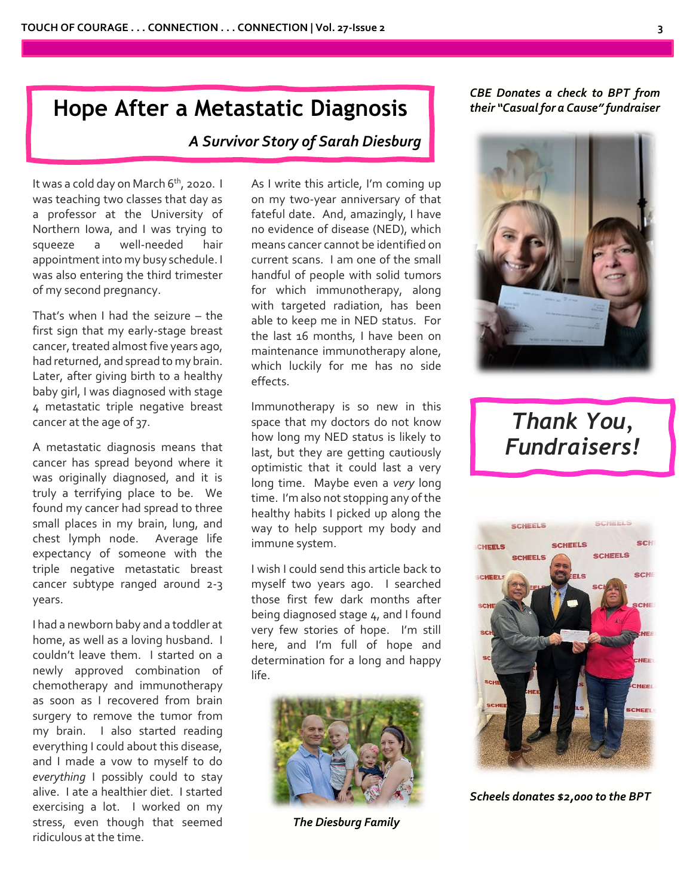# **Hope After a Metastatic Diagnosis**

# *A Survivor Story of Sarah Diesburg*

It was a cold day on March 6<sup>th</sup>, 2020. I was teaching two classes that day as a professor at the University of Northern Iowa, and I was trying to squeeze a well-needed hair appointment into my busy schedule. I was also entering the third trimester of my second pregnancy.

That's when I had the seizure – the first sign that my early-stage breast cancer, treated almost five years ago, had returned, and spread to my brain. Later, after giving birth to a healthy baby girl, I was diagnosed with stage 4 metastatic triple negative breast cancer at the age of 37.

A metastatic diagnosis means that cancer has spread beyond where it was originally diagnosed, and it is truly a terrifying place to be. We found my cancer had spread to three small places in my brain, lung, and chest lymph node. Average life expectancy of someone with the triple negative metastatic breast cancer subtype ranged around 2-3 years.

I had a newborn baby and a toddler at home, as well as a loving husband. I couldn't leave them. I started on a newly approved combination of chemotherapy and immunotherapy as soon as I recovered from brain surgery to remove the tumor from my brain. I also started reading everything I could about this disease, and I made a vow to myself to do *everything* I possibly could to stay alive. I ate a healthier diet. I started exercising a lot. I worked on my stress, even though that seemed ridiculous at the time.

As I write this article, I'm coming up on my two-year anniversary of that fateful date. And, amazingly, I have no evidence of disease (NED), which means cancer cannot be identified on current scans. I am one of the small handful of people with solid tumors for which immunotherapy, along with targeted radiation, has been able to keep me in NED status. For the last 16 months, I have been on maintenance immunotherapy alone, which luckily for me has no side effects.

Immunotherapy is so new in this space that my doctors do not know how long my NED status is likely to last, but they are getting cautiously optimistic that it could last a very long time. Maybe even a *very* long time. I'm also not stopping any of the healthy habits I picked up along the way to help support my body and immune system.

I wish I could send this article back to myself two years ago. I searched those first few dark months after being diagnosed stage 4, and I found very few stories of hope. I'm still here, and I'm full of hope and determination for a long and happy life.



*The Diesburg Family*

# *CBE Donates a check to BPT from their "Casual for a Cause" fundraiser*



# *Thank You, Fundraisers!*



*Scheels donates \$2,000 to the BPT*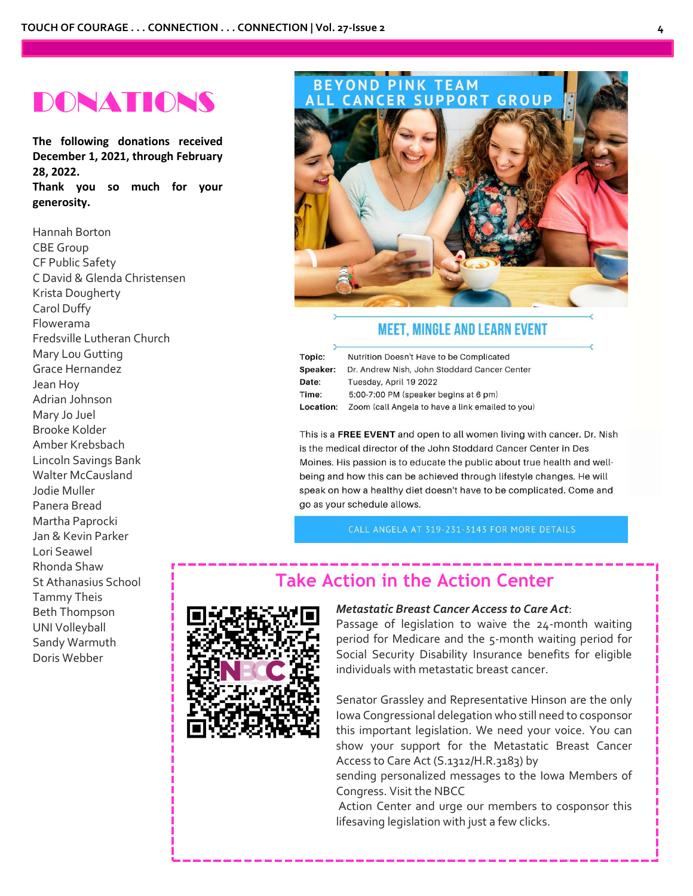# DONATIONS

**The following donations received December 1, 2021, through February 28, 2022. Thank you so much for your generosity.** 

Hannah Borton CBE Group CF Public Safety C David & Glenda Christensen Krista Dougherty Carol Duffy Flowerama Fredsville Lutheran Church Mary Lou Gutting Grace Hernandez Jean Hoy Adrian Johnson Mary Jo Juel Brooke Kolder Amber Krebsbach Lincoln Savings Bank Walter McCausland Jodie Muller Panera Bread Martha Paprocki Jan & Kevin Parker Lori Seawel Rhonda Shaw St Athanasius School Tammy Theis Beth Thompson UNI Volleyball Sandy Warmuth Doris Webber

# BEYOND PINK TEAM<br>ALL CANCER SUPPORT GROUP

# **MEET, MINGLE AND LEARN EVENT**

| Topic:          | Nutrition Doesn't Have to be Complicated         |  |
|-----------------|--------------------------------------------------|--|
| <b>Speaker:</b> | Dr. Andrew Nish, John Stoddard Cancer Center     |  |
| <b>Date:</b>    | Tuesday, April 19 2022                           |  |
| Time:           | 5:00-7:00 PM (speaker begins at 6 pm)            |  |
| Location:       | Zoom (call Angela to have a link emailed to you) |  |
|                 |                                                  |  |

This is a FREE EVENT and open to all women living with cancer. Dr. Nish is the medical director of the John Stoddard Cancer Center in Des Moines. His passion is to educate the public about true health and wellbeing and how this can be achieved through lifestyle changes. He will speak on how a healthy diet doesn't have to be complicated. Come and go as your schedule allows.

CALL ANGELA AT 319-231-3143 FOR MORE DETAILS

# **Take Action in the Action Center**



### *Metastatic Breast Cancer Access to Care Act*:

Passage of legislation to waive the 24-month waiting period for Medicare and the 5-month waiting period for Social Security Disability Insurance benefits for eligible individuals with metastatic breast cancer.

Senator Grassley and Representative Hinson are the only Iowa Congressional delegation who still need to cosponsor this important legislation. We need your voice. You can show your support for the Metastatic Breast Cancer Access to Care Act (S.1312/H.R.3183) by

sending personalized messages to the Iowa Members of Congress. Visit the NBCC

Action Center and urge our members to cosponsor this lifesaving legislation with just a few clicks.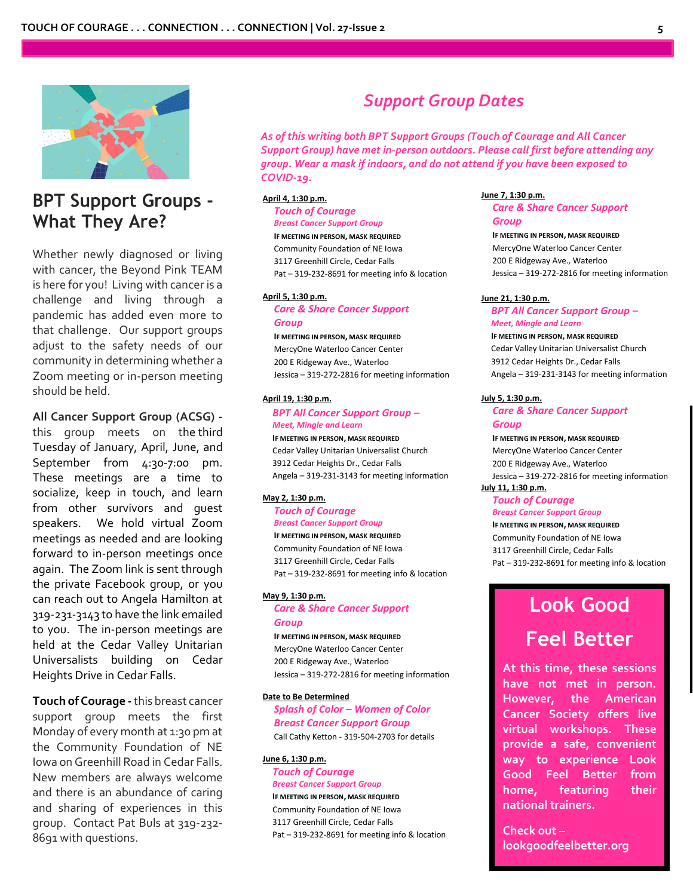

# **BPT Support Groups - What They Are?**

Whether newly diagnosed or living with cancer, the Beyond Pink TEAM is here for you! Living with cancer is a challenge and living through a pandemic has added even more to that challenge. Our support groups adjust to the safety needs of our community in determining whether a Zoom meeting or in-person meeting should be held.

#### **All Cancer Support Group (ACSG) -**

this group meets on the third Tuesday of January, April, June, and September from 4:30-7:00 pm. These meetings are a time to socialize, keep in touch, and learn from other survivors and guest speakers. We hold virtual Zoom meetings as needed and are looking forward to in-person meetings once again. The Zoom link is sent through the private Facebook group, or you can reach out to Angela Hamilton at 319-231-3143 to have the link emailed to you. The in-person meetings are held at the Cedar Valley Unitarian Universalists building on Cedar Heights Drive in Cedar Falls.

**Touch of Courage -**this breast cancer support group meets the first Monday of every month at 1:30 pm at the Community Foundation of NE Iowa on Greenhill Road in Cedar Falls. New members are always welcome and there is an abundance of caring and sharing of experiences in this group. Contact Pat Buls at 319-232- 8691 with questions.

# *Support Group Dates*

*As of this writing both BPT Support Groups (Touch of Courage and All Cancer Support Group) have met in-person outdoors. Please call first before attending any group. Wear a mask if indoors, and do not attend if you have been exposed to COVID-19.*

#### **April 4, 1:30 p.m.**

*Touch of Courage Breast Cancer Support Group* **IF MEETING IN PERSON, MASK REQUIRED** Community Foundation of NE Iowa 3117 Greenhill Circle, Cedar Falls

Pat – 319-232-8691 for meeting info & location

#### **April 5, 1:30 p.m.**

*Care & Share Cancer Support Group*

**IF MEETING IN PERSON, MASK REQUIRED** MercyOne Waterloo Cancer Center 200 E Ridgeway Ave., Waterloo Jessica – 319-272-2816 for meeting information

#### **April 19, 1:30 p.m.**

#### *BPT All Cancer Support Group – Meet, Mingle and Learn*

**IF MEETING IN PERSON, MASK REQUIRED** Cedar Valley Unitarian Universalist Church 3912 Cedar Heights Dr., Cedar Falls Angela – 319-231-3143 for meeting information

#### **May 2, 1:30 p.m.**

*Touch of Courage Breast Cancer Support Group* **IF MEETING IN PERSON, MASK REQUIRED** Community Foundation of NE Iowa

3117 Greenhill Circle, Cedar Falls Pat – 319-232-8691 for meeting info & location

#### **May 9, 1:30 p.m.**

*Care & Share Cancer Support Group*

**IF MEETING IN PERSON, MASK REQUIRED** MercyOne Waterloo Cancer Center 200 E Ridgeway Ave., Waterloo Jessica – 319-272-2816 for meeting information

#### **Date to Be Determined**

*Splash of Color – Women of Color Breast Cancer Support Group* Call Cathy Ketton - 319-504-2703 for details

#### **June 6, 1:30 p.m.**

*Touch of Courage Breast Cancer Support Group* **IF MEETING IN PERSON, MASK REQUIRED** Community Foundation of NE Iowa 3117 Greenhill Circle, Cedar Falls Pat – 319-232-8691 for meeting info & location

#### **June 7, 1:30 p.m.**

*Care & Share Cancer Support Group*

**IF MEETING IN PERSON, MASK REQUIRED** MercyOne Waterloo Cancer Center 200 E Ridgeway Ave., Waterloo Jessica – 319-272-2816 for meeting information

#### **June 21, 1:30 p.m.**

#### *BPT All Cancer Support Group – Meet, Mingle and Learn*

**IF MEETING IN PERSON, MASK REQUIRED** Cedar Valley Unitarian Universalist Church 3912 Cedar Heights Dr., Cedar Falls Angela – 319-231-3143 for meeting information

#### **July 5, 1:30 p.m.**

#### *Care & Share Cancer Support Group* **IF MEETING IN PERSON, MASK REQUIRED**

MercyOne Waterloo Cancer Center 200 E Ridgeway Ave., Waterloo Jessica – 319-272-2816 for meeting information **July 11, 1:30 p.m.**

#### *Touch of Courage Breast Cancer Support Group*

**IF MEETING IN PERSON, MASK REQUIRED** Community Foundation of NE Iowa 3117 Greenhill Circle, Cedar Falls Pat – 319-232-8691 for meeting info & location

# **Look Good**

# **Feel Better**

**At this time, these sessions have not met in person. However, the American Cancer Society offers live virtual workshops. These provide a safe, convenient way to experience Look Good Feel Better from home, featuring their national trainers.** 

**Check out – lookgoodfeelbetter.org**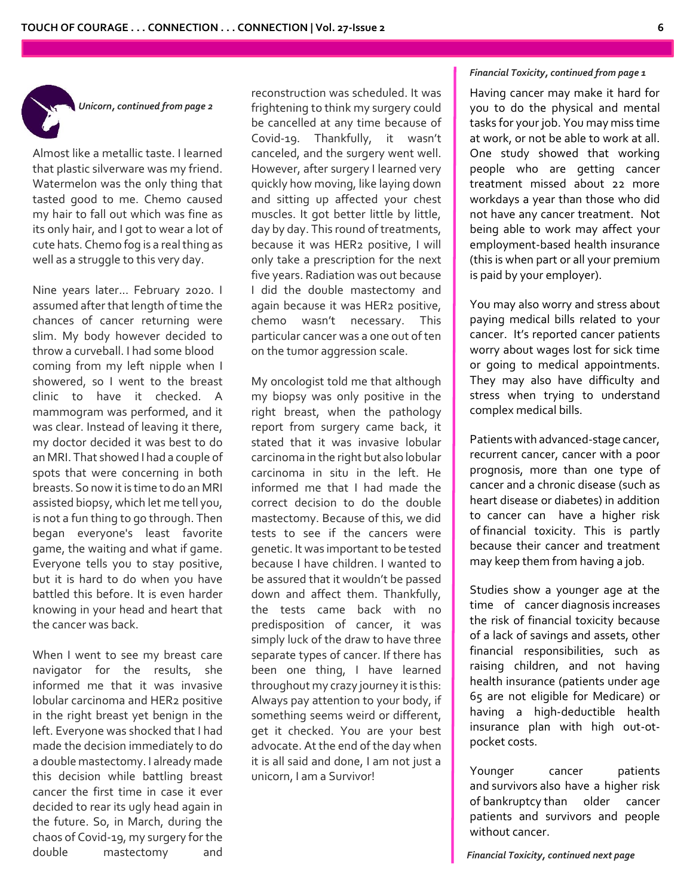

*Unicorn, continued from page 2*

Almost like a metallic taste. I learned that plastic silverware was my friend. Watermelon was the only thing that tasted good to me. Chemo caused my hair to fall out which was fine as its only hair, and I got to wear a lot of cute hats. Chemo fog is a real thing as well as a struggle to this very day.

Nine years later... February 2020. I assumed after that length of time the chances of cancer returning were slim. My body however decided to throw a curveball. I had some blood coming from my left nipple when I showered, so I went to the breast clinic to have it checked. A mammogram was performed, and it was clear. Instead of leaving it there, my doctor decided it was best to do an MRI. That showed I had a couple of spots that were concerning in both breasts. So now it is time to do an MRI assisted biopsy, which let me tell you, is not a fun thing to go through. Then began everyone's least favorite game, the waiting and what if game. Everyone tells you to stay positive, but it is hard to do when you have battled this before. It is even harder knowing in your head and heart that the cancer was back.

When I went to see my breast care navigator for the results, she informed me that it was invasive lobular carcinoma and HER2 positive in the right breast yet benign in the left. Everyone was shocked that I had made the decision immediately to do a double mastectomy. I already made this decision while battling breast cancer the first time in case it ever decided to rear its ugly head again in the future. So, in March, during the chaos of Covid-19, my surgery for the double mastectomy and

reconstruction was scheduled. It was frightening to think my surgery could be cancelled at any time because of Covid-19. Thankfully, it wasn't canceled, and the surgery went well. However, after surgery I learned very quickly how moving, like laying down and sitting up affected your chest muscles. It got better little by little, day by day. This round of treatments, because it was HER2 positive, I will only take a prescription for the next five years. Radiation was out because I did the double mastectomy and again because it was HER2 positive, chemo wasn't necessary. This particular cancer was a one out of ten on the tumor aggression scale.

My oncologist told me that although my biopsy was only positive in the right breast, when the pathology report from surgery came back, it stated that it was invasive lobular carcinoma in the right but also lobular carcinoma in situ in the left. He informed me that I had made the correct decision to do the double mastectomy. Because of this, we did tests to see if the cancers were genetic. It was important to be tested because I have children. I wanted to be assured that it wouldn't be passed down and affect them. Thankfully, the tests came back with no predisposition of cancer, it was simply luck of the draw to have three separate types of cancer. If there has been one thing, I have learned throughout my crazy journey it is this: Always pay attention to your body, if something seems weird or different, get it checked. You are your best advocate. At the end of the day when it is all said and done, I am not just a unicorn, I am a Survivor!

#### *Financial Toxicity, continued from page 1*

Having cancer may make it hard for you to do the physical and mental tasks for your job. You may miss time at work, or not be able to work at all. One study showed that working people who are getting cancer treatment missed about 22 more workdays a year than those who did not have any cancer treatment. Not being able to work may affect your employment-based health insurance (this is when part or all your premium is paid by your employer).

You may also worry and stress about paying medical bills related to your cancer. It's reported cancer patients worry about wages lost for sick time or going to medical appointments. They may also have difficulty and stress when trying to understand complex medical bills.

Patients with advanced-stage cancer, recurrent cancer, cancer with a poor prognosis, more than one type of cancer and a chronic disease (such as heart disease or diabetes) in addition to cancer can have a higher risk of [financial](https://www.cancer.gov/Common/PopUps/popDefinition.aspx?id=790159&version=patient&language=English&dictionary=Cancer.gov) toxicity. This is partly because their cancer and treatment may keep them from having a job.

Studies show a younger age at the time of cancer [diagnosis](https://www.cancer.gov/Common/PopUps/popDefinition.aspx?id=46450&version=patient&language=English&dictionary=Cancer.gov) increases the risk of financial toxicity because of a lack of savings and assets, other financial responsibilities, such as raising children, and not having health insurance (patients under age 65 are not eligible for Medicare) or having a high-deductible health insurance plan with high out-otpocket costs.

Younger cancer patients and [survivors](https://www.cancer.gov/Common/PopUps/popDefinition.aspx?id=450125&version=patient&language=English&dictionary=Cancer.gov) also have a higher risk of [bankruptcy](https://www.cancer.gov/Common/PopUps/popDefinition.aspx?id=790212&version=patient&language=English&dictionary=Cancer.gov) than older cancer patients and survivors and people without cancer.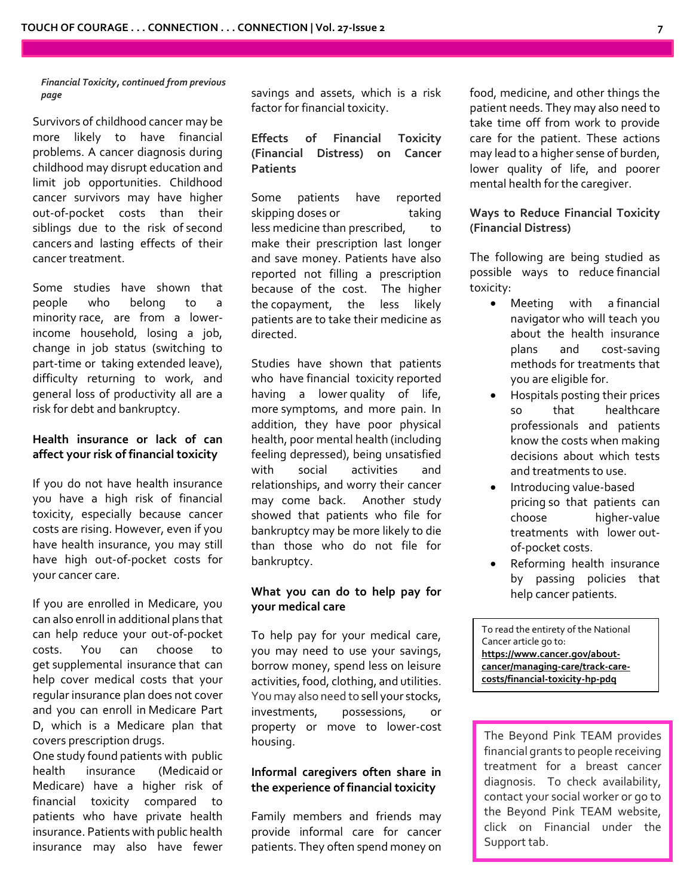*Financial Toxicity, continued from previous page*

Survivors of [childhood](https://www.cancer.gov/Common/PopUps/popDefinition.aspx?id=728326&version=patient&language=English&dictionary=Cancer.gov) cancer may be more likely to have financial problems. A cancer diagnosis during childhood may disrupt education and limit job opportunities. Childhood cancer survivors may have higher out-of-pocket costs than their siblings due to the risk of [second](https://www.cancer.gov/Common/PopUps/popDefinition.aspx?id=46658&version=patient&language=English&dictionary=Cancer.gov) [cancers](https://www.cancer.gov/Common/PopUps/popDefinition.aspx?id=46658&version=patient&language=English&dictionary=Cancer.gov) and lasting effects of their cancer treatment.

Some studies have shown that people who belong to a minority [race,](https://www.cancer.gov/Common/PopUps/popDefinition.aspx?id=784947&version=patient&language=English&dictionary=Cancer.gov) are from a lowerincome household, losing a job, change in job status (switching to part-time or taking extended leave), difficulty returning to work, and general loss of productivity all are a risk for debt and bankruptcy.

## **Health insurance or lack of can affect your risk of financial toxicity**

If you do not have health insurance you have a high risk of financial toxicity, especially because cancer costs are rising. However, even if you have health insurance, you may still have high out-of-pocket costs for your cancer care.

If you are enrolled in Medicare, you can also enroll in additional plans that can help reduce your out-of-pocket costs. You can choose to get [supplemental](https://www.cancer.gov/Common/PopUps/popDefinition.aspx?id=789795&version=patient&language=English&dictionary=Cancer.gov) insurance that can help cover medical costs that your regular insurance plan does not cover and you can enroll in [Medicare](https://www.cancer.gov/Common/PopUps/popDefinition.aspx?id=789797&version=patient&language=English&dictionary=Cancer.gov) Part [D,](https://www.cancer.gov/Common/PopUps/popDefinition.aspx?id=789797&version=patient&language=English&dictionary=Cancer.gov) which is a Medicare plan that covers [prescription](https://www.cancer.gov/Common/PopUps/popDefinition.aspx?id=44711&version=patient&language=English&dictionary=Cancer.gov) [drugs.](https://www.cancer.gov/Common/PopUps/popDefinition.aspx?id=348921&version=patient&language=English&dictionary=Cancer.gov)

One study found patients with [public](https://www.cancer.gov/Common/PopUps/popDefinition.aspx?id=790152&version=patient&language=English&dictionary=Cancer.gov) health [insurance](https://www.cancer.gov/Common/PopUps/popDefinition.aspx?id=790152&version=patient&language=English&dictionary=Cancer.gov) [\(Medicaid](https://www.cancer.gov/Common/PopUps/popDefinition.aspx?id=640050&version=patient&language=English&dictionary=Cancer.gov) or Medicare) have a higher risk of financial toxicity compared to patients who have private health insurance. Patients with public health insurance may also have fewer savings and assets, which is a risk factor for financial toxicity.

**Effects of Financial Toxicity (Financial Distress) on Cancer Patients**

Some patients have reported skipping [doses](https://www.cancer.gov/Common/PopUps/popDefinition.aspx?id=44664&version=patient&language=English&dictionary=Cancer.gov) or taking less [medicine](https://www.cancer.gov/Common/PopUps/popDefinition.aspx?id=482419&version=patient&language=English&dictionary=Cancer.gov) than [prescribed,](https://www.cancer.gov/Common/PopUps/popDefinition.aspx?id=44711&version=patient&language=English&dictionary=Cancer.gov) to make their prescription last longer and save money. Patients have also reported not filling a prescription because of the cost. The higher the [copayment,](https://www.cancer.gov/Common/PopUps/popDefinition.aspx?id=783522&version=patient&language=English&dictionary=Cancer.gov) the less likely patients are to take their medicine as directed.

Studies have shown that patients who have [financial](https://www.cancer.gov/Common/PopUps/popDefinition.aspx?id=790159&version=patient&language=English&dictionary=Cancer.gov) toxicity reported having a lower [quality](https://www.cancer.gov/Common/PopUps/popDefinition.aspx?id=45417&version=patient&language=English&dictionary=Cancer.gov) of life, more [symptoms,](https://www.cancer.gov/Common/PopUps/popDefinition.aspx?id=45022&version=patient&language=English&dictionary=Cancer.gov) and more pain. In addition, they have poor physical health, poor mental health (including feeling depressed), being unsatisfied with social activities and relationships, and worry their cancer may come back. Another study showed that patients who file for bankruptcy may be more likely to die than those who do not file for bankruptcy.

## **What you can do to help pay for your medical care**

To help pay for your medical care, you may need to use your savings, borrow money, spend less on leisure activities, food, clothing, and utilities. You may also need to sell your stocks, investments, possessions, or property or move to lower-cost housing.

## **Informal caregivers often share in the experience of financial toxicity**

Family members and friends may provide informal care for cancer patients. They often spend money on

food, medicine, and other things the patient needs. They may also need to take time off from work to provide care for the patient. These actions may lead to a higher sense of burden, lower quality of life, and poorer mental health for the [caregiver.](https://www.cancer.gov/Common/PopUps/popDefinition.aspx?id=648947&version=patient&language=English&dictionary=Cancer.gov)

## **Ways to Reduce Financial Toxicity (Financial Distress)**

The following are being studied as possible ways to reduce [financial](https://www.cancer.gov/Common/PopUps/popDefinition.aspx?id=790159&version=patient&language=English&dictionary=Cancer.gov) [toxicity:](https://www.cancer.gov/Common/PopUps/popDefinition.aspx?id=790159&version=patient&language=English&dictionary=Cancer.gov)

- Meeting with a [financial](https://www.cancer.gov/Common/PopUps/popDefinition.aspx?id=789804&version=patient&language=English&dictionary=Cancer.gov) [navigator](https://www.cancer.gov/Common/PopUps/popDefinition.aspx?id=789804&version=patient&language=English&dictionary=Cancer.gov) who will teach you about the health insurance plans and cost-saving methods for treatments that you are eligible for.
- Hospitals posting their prices so that healthcare professionals and patients know the costs when making decisions about which tests and treatments to use.
- Introducing [value-based](https://www.cancer.gov/Common/PopUps/popDefinition.aspx?id=790154&version=patient&language=English&dictionary=Cancer.gov) [pricing](https://www.cancer.gov/Common/PopUps/popDefinition.aspx?id=790154&version=patient&language=English&dictionary=Cancer.gov) so that patients can choose higher-value treatments with lower [out](https://www.cancer.gov/Common/PopUps/popDefinition.aspx?id=789800&version=patient&language=English&dictionary=Cancer.gov)[of-pocket](https://www.cancer.gov/Common/PopUps/popDefinition.aspx?id=789800&version=patient&language=English&dictionary=Cancer.gov) costs.
- Reforming health insurance by passing policies that help [cancer](https://www.cancer.gov/Common/PopUps/popDefinition.aspx?id=45333&version=patient&language=English&dictionary=Cancer.gov) patients.

To read the entirety of the National Cancer article go to: **https://www.cancer.gov/aboutcancer/managing-care/track-carecosts/financial-toxicity-hp-pdq**

The Beyond Pink TEAM provides financial grants to people receiving treatment for a breast cancer diagnosis. To check availability, contact your social worker or go to the Beyond Pink TEAM website, click on Financial under the Support tab.